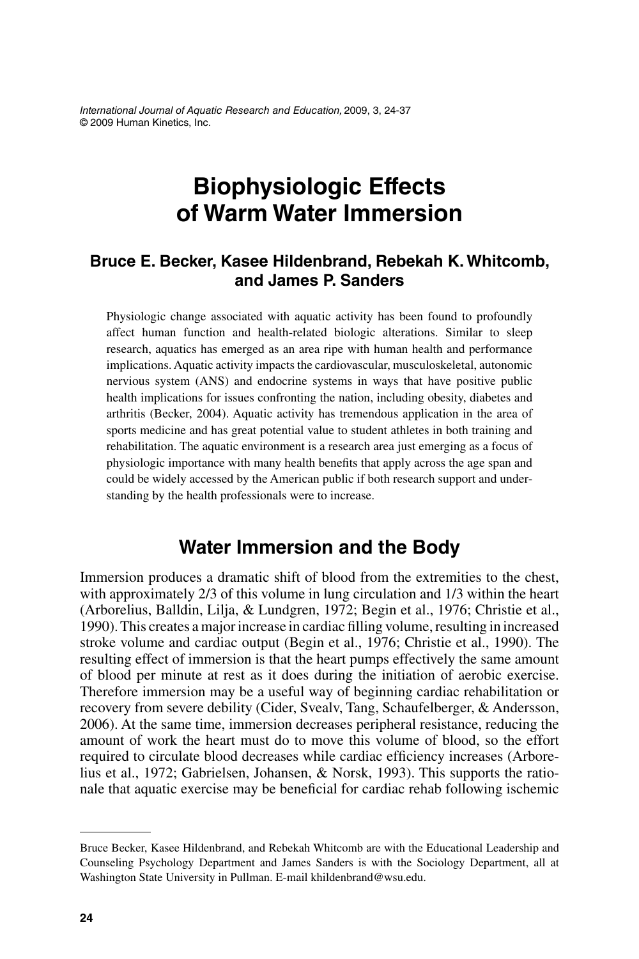International Journal of Aquatic Research and Education, 2009, 3, 24-37 © 2009 Human Kinetics, Inc.

# **Biophysiologic Effects of Warm Water Immersion**

### **Bruce E. Becker, Kasee Hildenbrand, Rebekah K. Whitcomb, and James P. Sanders**

Physiologic change associated with aquatic activity has been found to profoundly affect human function and health-related biologic alterations. Similar to sleep research, aquatics has emerged as an area ripe with human health and performance implications. Aquatic activity impacts the cardiovascular, musculoskeletal, autonomic nervious system (ANS) and endocrine systems in ways that have positive public health implications for issues confronting the nation, including obesity, diabetes and arthritis (Becker, 2004). Aquatic activity has tremendous application in the area of sports medicine and has great potential value to student athletes in both training and rehabilitation. The aquatic environment is a research area just emerging as a focus of physiologic importance with many health benefits that apply across the age span and could be widely accessed by the American public if both research support and understanding by the health professionals were to increase.

### **Water Immersion and the Body**

Immersion produces a dramatic shift of blood from the extremities to the chest, with approximately 2/3 of this volume in lung circulation and 1/3 within the heart (Arborelius, Balldin, Lilja, & Lundgren, 1972; Begin et al., 1976; Christie et al., 1990). This creates a major increase in cardiac filling volume, resulting in increased stroke volume and cardiac output (Begin et al., 1976; Christie et al., 1990). The resulting effect of immersion is that the heart pumps effectively the same amount of blood per minute at rest as it does during the initiation of aerobic exercise. Therefore immersion may be a useful way of beginning cardiac rehabilitation or recovery from severe debility (Cider, Svealv, Tang, Schaufelberger, & Andersson, 2006). At the same time, immersion decreases peripheral resistance, reducing the amount of work the heart must do to move this volume of blood, so the effort required to circulate blood decreases while cardiac efficiency increases (Arborelius et al., 1972; Gabrielsen, Johansen, & Norsk, 1993). This supports the rationale that aquatic exercise may be beneficial for cardiac rehab following ischemic

Bruce Becker, Kasee Hildenbrand, and Rebekah Whitcomb are with the Educational Leadership and Counseling Psychology Department and James Sanders is with the Sociology Department, all at Washington State University in Pullman. E-mail khildenbrand@wsu.edu.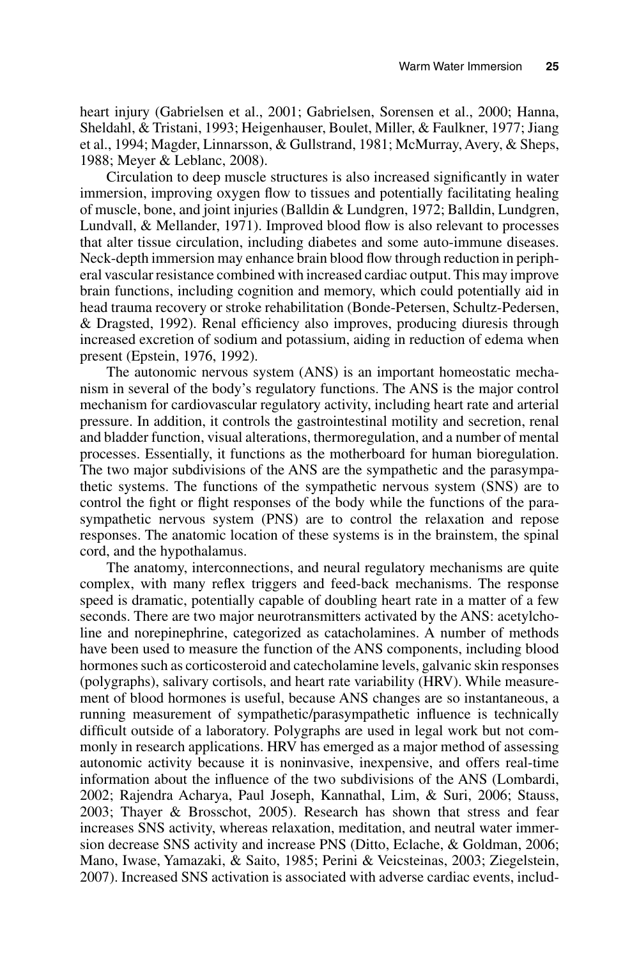heart injury (Gabrielsen et al., 2001; Gabrielsen, Sorensen et al., 2000; Hanna, Sheldahl, & Tristani, 1993; Heigenhauser, Boulet, Miller, & Faulkner, 1977; Jiang et al., 1994; Magder, Linnarsson, & Gullstrand, 1981; McMurray, Avery, & Sheps, 1988; Meyer & Leblanc, 2008).

Circulation to deep muscle structures is also increased significantly in water immersion, improving oxygen flow to tissues and potentially facilitating healing of muscle, bone, and joint injuries (Balldin & Lundgren, 1972; Balldin, Lundgren, Lundvall, & Mellander, 1971). Improved blood flow is also relevant to processes that alter tissue circulation, including diabetes and some auto-immune diseases. Neck-depth immersion may enhance brain blood flow through reduction in peripheral vascular resistance combined with increased cardiac output. This may improve brain functions, including cognition and memory, which could potentially aid in head trauma recovery or stroke rehabilitation (Bonde-Petersen, Schultz-Pedersen,  $&$  Dragsted, 1992). Renal efficiency also improves, producing diuresis through increased excretion of sodium and potassium, aiding in reduction of edema when present (Epstein, 1976, 1992).

The autonomic nervous system (ANS) is an important homeostatic mechanism in several of the body's regulatory functions. The ANS is the major control mechanism for cardiovascular regulatory activity, including heart rate and arterial pressure. In addition, it controls the gastrointestinal motility and secretion, renal and bladder function, visual alterations, thermoregulation, and a number of mental processes. Essentially, it functions as the motherboard for human bioregulation. The two major subdivisions of the ANS are the sympathetic and the parasympathetic systems. The functions of the sympathetic nervous system (SNS) are to control the fight or flight responses of the body while the functions of the parasympathetic nervous system (PNS) are to control the relaxation and repose responses. The anatomic location of these systems is in the brainstem, the spinal cord, and the hypothalamus.

The anatomy, interconnections, and neural regulatory mechanisms are quite complex, with many reflex triggers and feed-back mechanisms. The response speed is dramatic, potentially capable of doubling heart rate in a matter of a few seconds. There are two major neurotransmitters activated by the ANS: acetylcholine and norepinephrine, categorized as catacholamines. A number of methods have been used to measure the function of the ANS components, including blood hormones such as corticosteroid and catecholamine levels, galvanic skin responses (polygraphs), salivary cortisols, and heart rate variability (HRV). While measurement of blood hormones is useful, because ANS changes are so instantaneous, a running measurement of sympathetic/parasympathetic influence is technically difficult outside of a laboratory. Polygraphs are used in legal work but not commonly in research applications. HRV has emerged as a major method of assessing autonomic activity because it is noninvasive, inexpensive, and offers real-time information about the influence of the two subdivisions of the ANS (Lombardi, 2002; Rajendra Acharya, Paul Joseph, Kannathal, Lim, & Suri, 2006; Stauss, 2003; Thayer & Brosschot, 2005). Research has shown that stress and fear increases SNS activity, whereas relaxation, meditation, and neutral water immersion decrease SNS activity and increase PNS (Ditto, Eclache, & Goldman, 2006; Mano, Iwase, Yamazaki, & Saito, 1985; Perini & Veicsteinas, 2003; Ziegelstein, 2007). Increased SNS activation is associated with adverse cardiac events, includ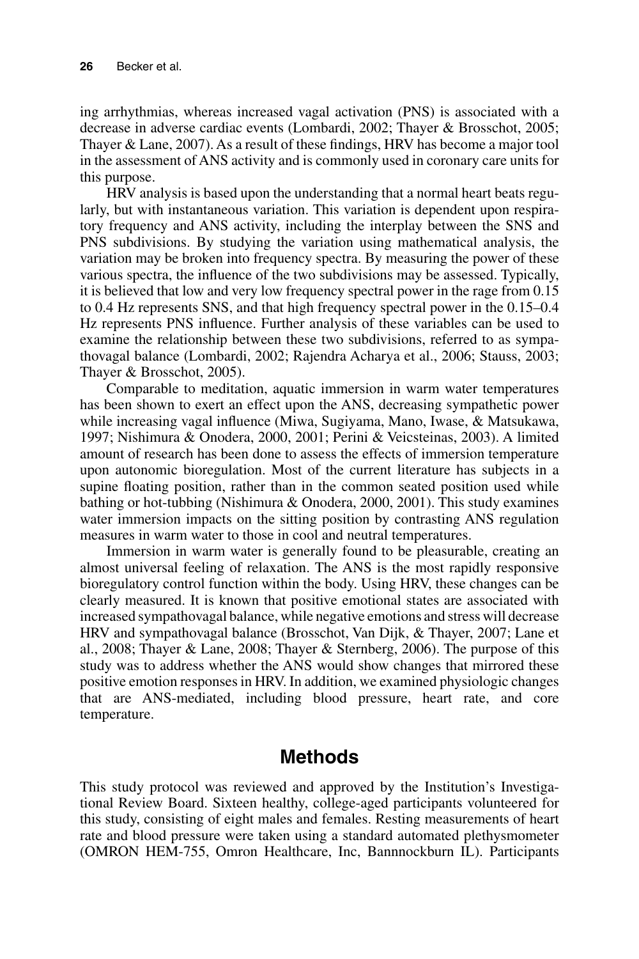ing arrhythmias, whereas increased vagal activation (PNS) is associated with a decrease in adverse cardiac events (Lombardi, 2002; Thayer & Brosschot, 2005; Thayer  $& Lane, 2007$ . As a result of these findings, HRV has become a major tool in the assessment of ANS activity and is commonly used in coronary care units for this purpose.

HRV analysis is based upon the understanding that a normal heart beats regularly, but with instantaneous variation. This variation is dependent upon respiratory frequency and ANS activity, including the interplay between the SNS and PNS subdivisions. By studying the variation using mathematical analysis, the variation may be broken into frequency spectra. By measuring the power of these various spectra, the influence of the two subdivisions may be assessed. Typically, it is believed that low and very low frequency spectral power in the rage from 0.15 to 0.4 Hz represents SNS, and that high frequency spectral power in the 0.15–0.4 Hz represents PNS influence. Further analysis of these variables can be used to examine the relationship between these two subdivisions, referred to as sympathovagal balance (Lombardi, 2002; Rajendra Acharya et al., 2006; Stauss, 2003; Thayer & Brosschot, 2005).

Comparable to meditation, aquatic immersion in warm water temperatures has been shown to exert an effect upon the ANS, decreasing sympathetic power while increasing vagal influence (Miwa, Sugiyama, Mano, Iwase, & Matsukawa, 1997; Nishimura & Onodera, 2000, 2001; Perini & Veicsteinas, 2003). A limited amount of research has been done to assess the effects of immersion temperature upon autonomic bioregulation. Most of the current literature has subjects in a supine floating position, rather than in the common seated position used while bathing or hot-tubbing (Nishimura & Onodera, 2000, 2001). This study examines water immersion impacts on the sitting position by contrasting ANS regulation measures in warm water to those in cool and neutral temperatures.

Immersion in warm water is generally found to be pleasurable, creating an almost universal feeling of relaxation. The ANS is the most rapidly responsive bioregulatory control function within the body. Using HRV, these changes can be clearly measured. It is known that positive emotional states are associated with increased sympathovagal balance, while negative emotions and stress will decrease HRV and sympathovagal balance (Brosschot, Van Dijk, & Thayer, 2007; Lane et al., 2008; Thayer & Lane, 2008; Thayer & Sternberg, 2006). The purpose of this study was to address whether the ANS would show changes that mirrored these positive emotion responses in HRV. In addition, we examined physiologic changes that are ANS-mediated, including blood pressure, heart rate, and core temperature.

## **Methods**

This study protocol was reviewed and approved by the Institution's Investigational Review Board. Sixteen healthy, college-aged participants volunteered for this study, consisting of eight males and females. Resting measurements of heart rate and blood pressure were taken using a standard automated plethysmometer (OMRON HEM-755, Omron Healthcare, Inc, Bannnockburn IL). Participants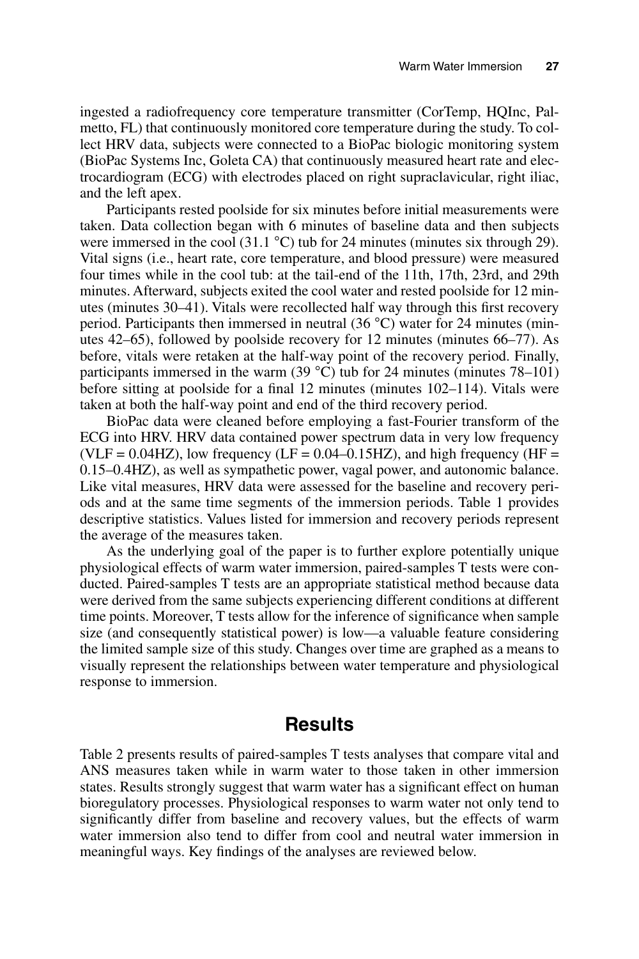ingested a radiofrequency core temperature transmitter (CorTemp, HQInc, Palmetto, FL) that continuously monitored core temperature during the study. To collect HRV data, subjects were connected to a BioPac biologic monitoring system (BioPac Systems Inc, Goleta CA) that continuously measured heart rate and electrocardiogram (ECG) with electrodes placed on right supraclavicular, right iliac, and the left apex.

Participants rested poolside for six minutes before initial measurements were taken. Data collection began with 6 minutes of baseline data and then subjects were immersed in the cool (31.1 °C) tub for 24 minutes (minutes six through 29). Vital signs (i.e., heart rate, core temperature, and blood pressure) were measured four times while in the cool tub: at the tail-end of the 11th, 17th, 23rd, and 29th minutes. Afterward, subjects exited the cool water and rested poolside for 12 minutes (minutes  $30-41$ ). Vitals were recollected half way through this first recovery period. Participants then immersed in neutral (36 °C) water for 24 minutes (minutes 42–65), followed by poolside recovery for 12 minutes (minutes 66–77). As before, vitals were retaken at the half-way point of the recovery period. Finally, participants immersed in the warm (39 °C) tub for 24 minutes (minutes 78–101) before sitting at poolside for a final 12 minutes (minutes  $102-114$ ). Vitals were taken at both the half-way point and end of the third recovery period.

BioPac data were cleaned before employing a fast-Fourier transform of the ECG into HRV. HRV data contained power spectrum data in very low frequency (VLF = 0.04HZ), low frequency (LF = 0.04–0.15HZ), and high frequency (HF = 0.15–0.4HZ), as well as sympathetic power, vagal power, and autonomic balance. Like vital measures, HRV data were assessed for the baseline and recovery periods and at the same time segments of the immersion periods. Table 1 provides descriptive statistics. Values listed for immersion and recovery periods represent the average of the measures taken.

As the underlying goal of the paper is to further explore potentially unique physiological effects of warm water immersion, paired-samples T tests were conducted. Paired-samples T tests are an appropriate statistical method because data were derived from the same subjects experiencing different conditions at different time points. Moreover, T tests allow for the inference of significance when sample size (and consequently statistical power) is low—a valuable feature considering the limited sample size of this study. Changes over time are graphed as a means to visually represent the relationships between water temperature and physiological response to immersion.

### **Results**

Table 2 presents results of paired-samples T tests analyses that compare vital and ANS measures taken while in warm water to those taken in other immersion states. Results strongly suggest that warm water has a significant effect on human bioregulatory processes. Physiological responses to warm water not only tend to significantly differ from baseline and recovery values, but the effects of warm water immersion also tend to differ from cool and neutral water immersion in meaningful ways. Key findings of the analyses are reviewed below.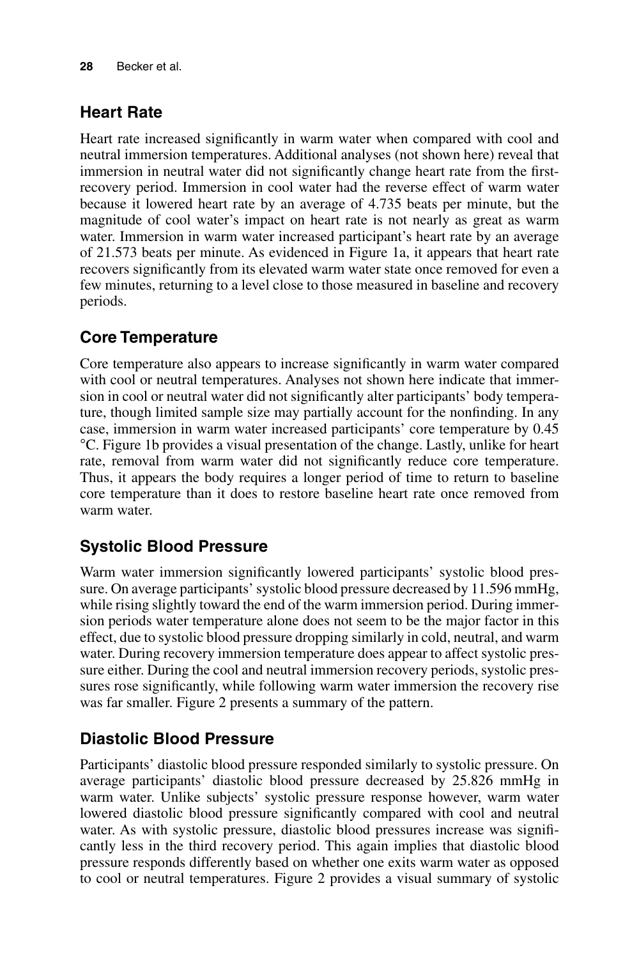## **Heart Rate**

Heart rate increased significantly in warm water when compared with cool and neutral immersion temperatures. Additional analyses (not shown here) reveal that immersion in neutral water did not significantly change heart rate from the firstrecovery period. Immersion in cool water had the reverse effect of warm water because it lowered heart rate by an average of 4.735 beats per minute, but the magnitude of cool water's impact on heart rate is not nearly as great as warm water. Immersion in warm water increased participant's heart rate by an average of 21.573 beats per minute. As evidenced in Figure 1a, it appears that heart rate recovers significantly from its elevated warm water state once removed for even a few minutes, returning to a level close to those measured in baseline and recovery periods.

## **Core Temperature**

Core temperature also appears to increase significantly in warm water compared with cool or neutral temperatures. Analyses not shown here indicate that immersion in cool or neutral water did not significantly alter participants' body temperature, though limited sample size may partially account for the nonfinding. In any case, immersion in warm water increased participants' core temperature by 0.45 °C. Figure 1b provides a visual presentation of the change. Lastly, unlike for heart rate, removal from warm water did not significantly reduce core temperature. Thus, it appears the body requires a longer period of time to return to baseline core temperature than it does to restore baseline heart rate once removed from warm water.

## **Systolic Blood Pressure**

Warm water immersion significantly lowered participants' systolic blood pressure. On average participants' systolic blood pressure decreased by 11.596 mmHg, while rising slightly toward the end of the warm immersion period. During immersion periods water temperature alone does not seem to be the major factor in this effect, due to systolic blood pressure dropping similarly in cold, neutral, and warm water. During recovery immersion temperature does appear to affect systolic pressure either. During the cool and neutral immersion recovery periods, systolic pressures rose significantly, while following warm water immersion the recovery rise was far smaller. Figure 2 presents a summary of the pattern.

## **Diastolic Blood Pressure**

Participants' diastolic blood pressure responded similarly to systolic pressure. On average participants' diastolic blood pressure decreased by 25.826 mmHg in warm water. Unlike subjects' systolic pressure response however, warm water lowered diastolic blood pressure significantly compared with cool and neutral water. As with systolic pressure, diastolic blood pressures increase was significantly less in the third recovery period. This again implies that diastolic blood pressure responds differently based on whether one exits warm water as opposed to cool or neutral temperatures. Figure 2 provides a visual summary of systolic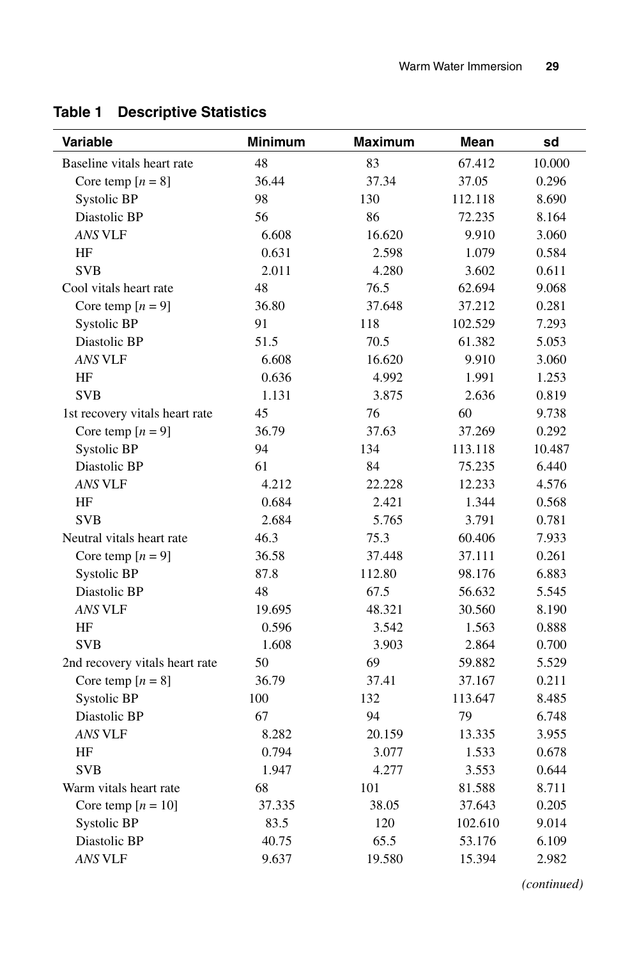| Variable                       | <b>Minimum</b> | <b>Maximum</b> | Mean    | sd     |
|--------------------------------|----------------|----------------|---------|--------|
| Baseline vitals heart rate     | 48             | 83             | 67.412  | 10.000 |
| Core temp $[n = 8]$            | 36.44          | 37.34          | 37.05   | 0.296  |
| Systolic BP                    | 98             | 130            | 112.118 | 8.690  |
| Diastolic BP                   | 56             | 86             | 72.235  | 8.164  |
| <b>ANS VLF</b>                 | 6.608          | 16.620         | 9.910   | 3.060  |
| HF                             | 0.631          | 2.598          | 1.079   | 0.584  |
| <b>SVB</b>                     | 2.011          | 4.280          | 3.602   | 0.611  |
| Cool vitals heart rate         | 48             | 76.5           | 62.694  | 9.068  |
| Core temp $[n = 9]$            | 36.80          | 37.648         | 37.212  | 0.281  |
| Systolic BP                    | 91             | 118            | 102.529 | 7.293  |
| Diastolic BP                   | 51.5           | 70.5           | 61.382  | 5.053  |
| <b>ANS VLF</b>                 | 6.608          | 16.620         | 9.910   | 3.060  |
| HF                             | 0.636          | 4.992          | 1.991   | 1.253  |
| <b>SVB</b>                     | 1.131          | 3.875          | 2.636   | 0.819  |
| 1st recovery vitals heart rate | 45             | 76             | 60      | 9.738  |
| Core temp $[n = 9]$            | 36.79          | 37.63          | 37.269  | 0.292  |
| <b>Systolic BP</b>             | 94             | 134            | 113.118 | 10.487 |
| Diastolic BP                   | 61             | 84             | 75.235  | 6.440  |
| <b>ANS VLF</b>                 | 4.212          | 22.228         | 12.233  | 4.576  |
| HF                             | 0.684          | 2.421          | 1.344   | 0.568  |
| <b>SVB</b>                     | 2.684          | 5.765          | 3.791   | 0.781  |
| Neutral vitals heart rate      | 46.3           | 75.3           | 60.406  | 7.933  |
| Core temp $[n = 9]$            | 36.58          | 37.448         | 37.111  | 0.261  |
| Systolic BP                    | 87.8           | 112.80         | 98.176  | 6.883  |
| Diastolic BP                   | 48             | 67.5           | 56.632  | 5.545  |
| <b>ANS VLF</b>                 | 19.695         | 48.321         | 30.560  | 8.190  |
| HF                             | 0.596          | 3.542          | 1.563   | 0.888  |
| <b>SVB</b>                     | 1.608          | 3.903          | 2.864   | 0.700  |
| 2nd recovery vitals heart rate | 50             | 69             | 59.882  | 5.529  |
| Core temp $[n = 8]$            | 36.79          | 37.41          | 37.167  | 0.211  |
| Systolic BP                    | 100            | 132            | 113.647 | 8.485  |
| Diastolic BP                   | 67             | 94             | 79      | 6.748  |
| ANS VLF                        | 8.282          | 20.159         | 13.335  | 3.955  |
| HF                             | 0.794          | 3.077          | 1.533   | 0.678  |
| <b>SVB</b>                     | 1.947          | 4.277          | 3.553   | 0.644  |
| Warm vitals heart rate         | 68             | 101            | 81.588  | 8.711  |
| Core temp $[n = 10]$           | 37.335         | 38.05          | 37.643  | 0.205  |
| Systolic BP                    | 83.5           | 120            | 102.610 | 9.014  |
| Diastolic BP                   | 40.75          | 65.5           | 53.176  | 6.109  |
| <b>ANS VLF</b>                 | 9.637          | 19.580         | 15.394  | 2.982  |

## **Table 1 Descriptive Statistics**

*(continued)*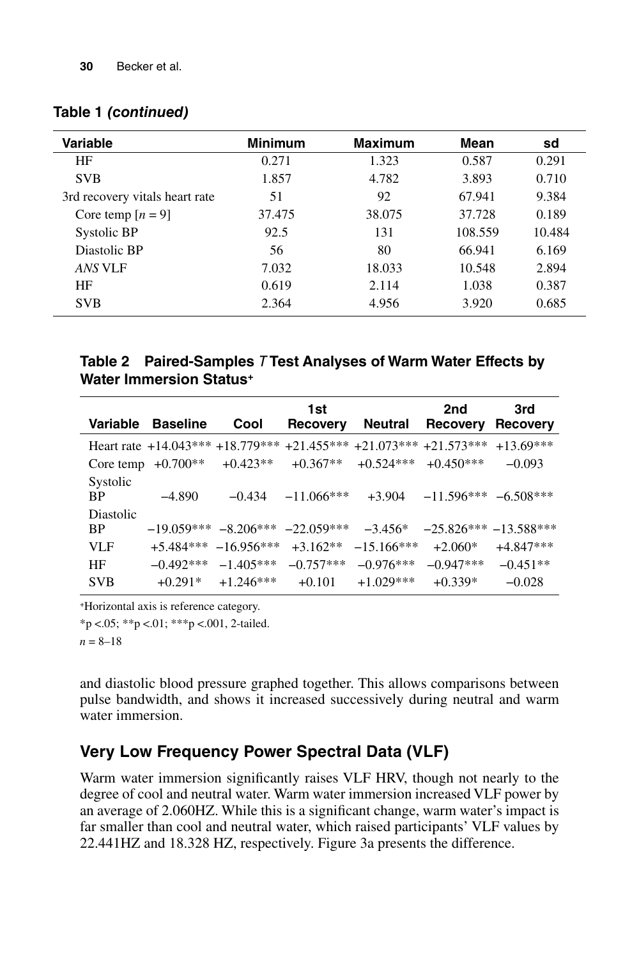#### **Table 1 (continued)**

| Variable                       | <b>Minimum</b> | <b>Maximum</b> | Mean    | sd     |
|--------------------------------|----------------|----------------|---------|--------|
| HF                             | 0.271          | 1.323          | 0.587   | 0.291  |
| <b>SVB</b>                     | 1.857          | 4.782          | 3.893   | 0.710  |
| 3rd recovery vitals heart rate | 51             | 92             | 67.941  | 9.384  |
| Core temp $[n = 9]$            | 37.475         | 38.075         | 37.728  | 0.189  |
| Systolic BP                    | 92.5           | 131            | 108.559 | 10.484 |
| Diastolic BP                   | 56             | 80             | 66.941  | 6.169  |
| ANS VLF                        | 7.032          | 18.033         | 10.548  | 2.894  |
| HF                             | 0.619          | 2.114          | 1.038   | 0.387  |
| <b>SVB</b>                     | 2.364          | 4.956          | 3.920   | 0.685  |

#### **Table 2 Paired-Samples** T **Test Analyses of Warm Water Effects by Water Immersion Status+**

| Variable               | <b>Baseline</b>          | Cool         | 1st<br>Recovery | <b>Neutral</b> | 2nd<br><b>Recovery</b>   | 3rd<br><b>Recovery</b> |
|------------------------|--------------------------|--------------|-----------------|----------------|--------------------------|------------------------|
|                        | Heart rate $+14.043***$  | $+18.779***$ | $+21.455***$    | $+21.073***$   | $+21.573***$             | $+13.69***$            |
| Core temp              | $+0.700**$               | $+0.423**$   | $+0.367**$      | $+0.524***$    | $+0.450***$              | $-0.093$               |
| Systolic<br><b>BP</b>  | $-4.890$                 | $-0.434$     | $-11.066***$    | $+3.904$       | $-11.596***$ $-6.508***$ |                        |
| Diastolic<br><b>BP</b> | $-19.059***$ $-8.206***$ |              | $-22.059***$    | $-3.456*$      | $-25.826*** -13.588***$  |                        |
| VLF                    | $+5.484***$              | $-16.956***$ | $+3.162**$      | $-15.166***$   | $+2.060*$                | $+4.847***$            |
| HF                     | $-0.492***$              | $-1.405***$  | $-0.757***$     | $-0.976***$    | $-0.947***$              | $-0.451**$             |
| <b>SVB</b>             | $+0.291*$                | $+1.246***$  | $+0.101$        | $+1.029***$    | $+0.339*$                | $-0.028$               |

+Horizontal axis is reference category.

 $*_{p}$  <.05;  $*_{p}$  <.01;  $*_{p}$  <.001, 2-tailed.

 $n = 8 - 18$ 

and diastolic blood pressure graphed together. This allows comparisons between pulse bandwidth, and shows it increased successively during neutral and warm water immersion.

#### **Very Low Frequency Power Spectral Data (VLF)**

Warm water immersion significantly raises VLF HRV, though not nearly to the degree of cool and neutral water. Warm water immersion increased VLF power by an average of 2.060HZ. While this is a significant change, warm water's impact is far smaller than cool and neutral water, which raised participants' VLF values by 22.441HZ and 18.328 HZ, respectively. Figure 3a presents the difference.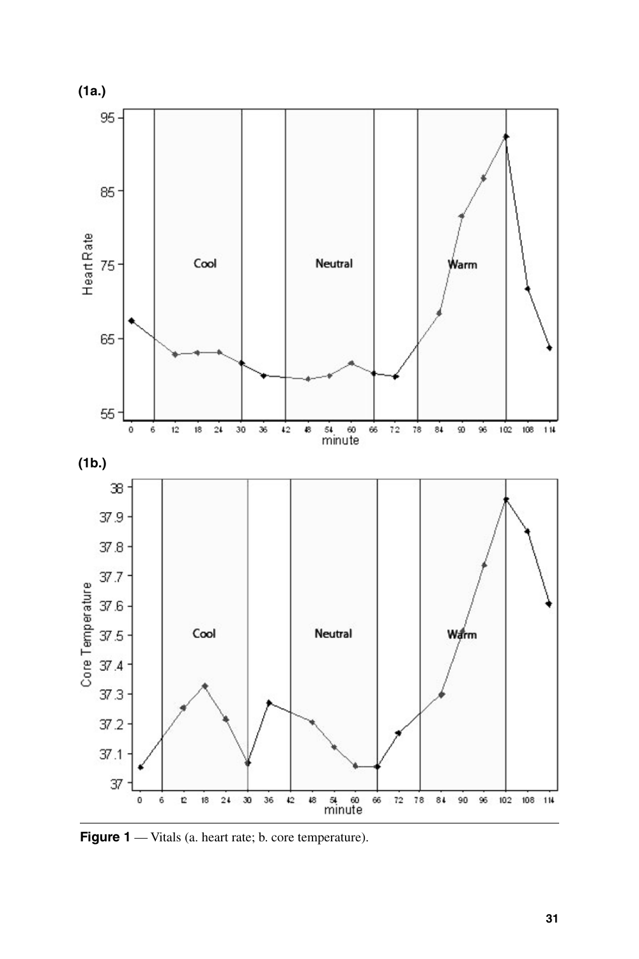

Figure 1 — Vitals (a. heart rate; b. core temperature).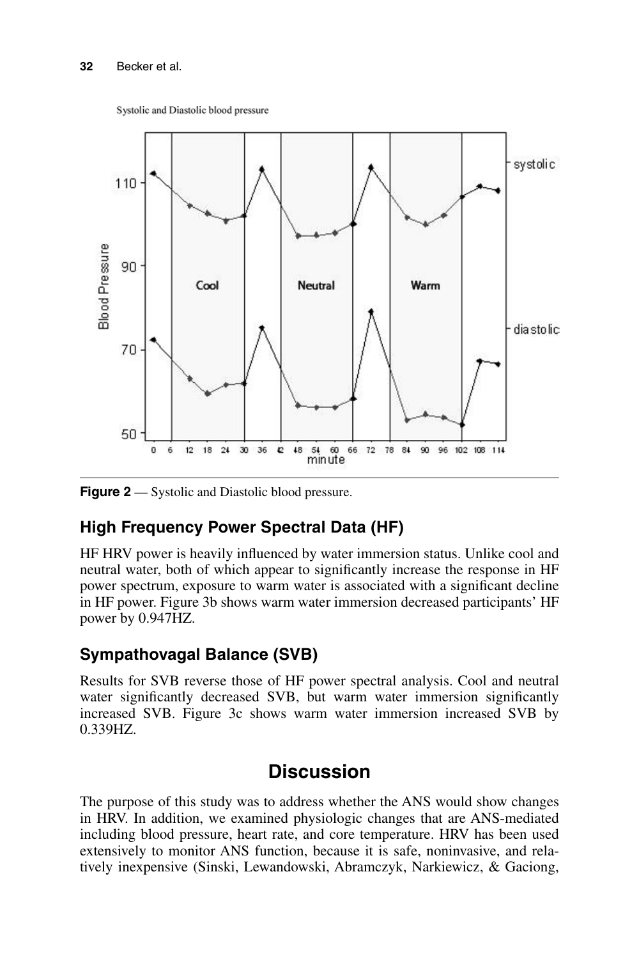Systolic and Diastolic blood pressure



**Figure 2** — Systolic and Diastolic blood pressure.

## **High Frequency Power Spectral Data (HF)**

HF HRV power is heavily influenced by water immersion status. Unlike cool and neutral water, both of which appear to significantly increase the response in HF power spectrum, exposure to warm water is associated with a significant decline in HF power. Figure 3b shows warm water immersion decreased participants' HF power by 0.947HZ.

## **Sympathovagal Balance (SVB)**

Results for SVB reverse those of HF power spectral analysis. Cool and neutral water significantly decreased SVB, but warm water immersion significantly increased SVB. Figure 3c shows warm water immersion increased SVB by 0.339HZ.

## **Discussion**

The purpose of this study was to address whether the ANS would show changes in HRV. In addition, we examined physiologic changes that are ANS-mediated including blood pressure, heart rate, and core temperature. HRV has been used extensively to monitor ANS function, because it is safe, noninvasive, and relatively inexpensive (Sinski, Lewandowski, Abramczyk, Narkiewicz, & Gaciong,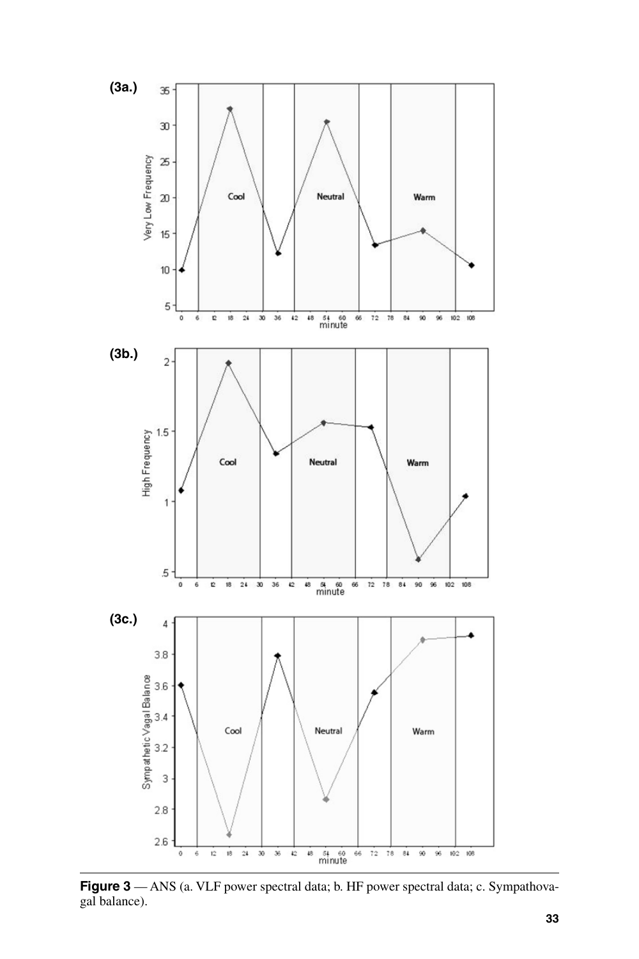

**Figure 3** — ANS (a. VLF power spectral data; b. HF power spectral data; c. Sympathovagal balance).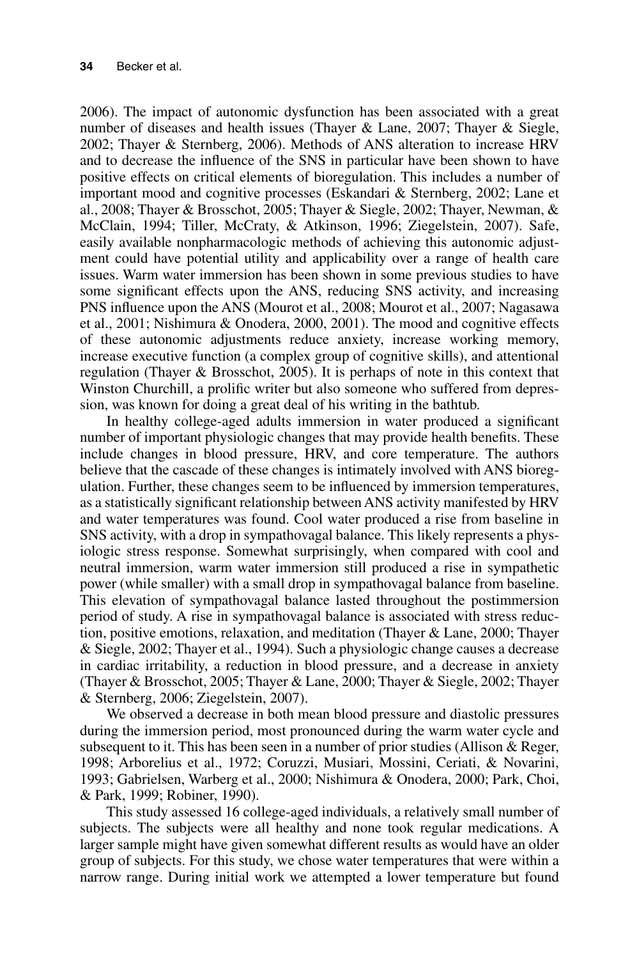2006). The impact of autonomic dysfunction has been associated with a great number of diseases and health issues (Thayer & Lane, 2007; Thayer & Siegle, 2002; Thayer & Sternberg, 2006). Methods of ANS alteration to increase HRV and to decrease the influence of the SNS in particular have been shown to have positive effects on critical elements of bioregulation. This includes a number of important mood and cognitive processes (Eskandari & Sternberg, 2002; Lane et al., 2008; Thayer & Brosschot, 2005; Thayer & Siegle, 2002; Thayer, Newman, & McClain, 1994; Tiller, McCraty, & Atkinson, 1996; Ziegelstein, 2007). Safe, easily available nonpharmacologic methods of achieving this autonomic adjustment could have potential utility and applicability over a range of health care issues. Warm water immersion has been shown in some previous studies to have some significant effects upon the ANS, reducing SNS activity, and increasing PNS influence upon the ANS (Mourot et al., 2008; Mourot et al., 2007; Nagasawa et al., 2001; Nishimura & Onodera, 2000, 2001). The mood and cognitive effects of these autonomic adjustments reduce anxiety, increase working memory, increase executive function (a complex group of cognitive skills), and attentional regulation (Thayer & Brosschot, 2005). It is perhaps of note in this context that Winston Churchill, a prolific writer but also someone who suffered from depression, was known for doing a great deal of his writing in the bathtub.

In healthy college-aged adults immersion in water produced a significant number of important physiologic changes that may provide health benefits. These include changes in blood pressure, HRV, and core temperature. The authors believe that the cascade of these changes is intimately involved with ANS bioregulation. Further, these changes seem to be influenced by immersion temperatures, as a statistically significant relationship between ANS activity manifested by HRV and water temperatures was found. Cool water produced a rise from baseline in SNS activity, with a drop in sympathovagal balance. This likely represents a physiologic stress response. Somewhat surprisingly, when compared with cool and neutral immersion, warm water immersion still produced a rise in sympathetic power (while smaller) with a small drop in sympathovagal balance from baseline. This elevation of sympathovagal balance lasted throughout the postimmersion period of study. A rise in sympathovagal balance is associated with stress reduction, positive emotions, relaxation, and meditation (Thayer & Lane, 2000; Thayer & Siegle, 2002; Thayer et al., 1994). Such a physiologic change causes a decrease in cardiac irritability, a reduction in blood pressure, and a decrease in anxiety (Thayer & Brosschot, 2005; Thayer & Lane, 2000; Thayer & Siegle, 2002; Thayer & Sternberg, 2006; Ziegelstein, 2007).

We observed a decrease in both mean blood pressure and diastolic pressures during the immersion period, most pronounced during the warm water cycle and subsequent to it. This has been seen in a number of prior studies (Allison & Reger, 1998; Arborelius et al., 1972; Coruzzi, Musiari, Mossini, Ceriati, & Novarini, 1993; Gabrielsen, Warberg et al., 2000; Nishimura & Onodera, 2000; Park, Choi, & Park, 1999; Robiner, 1990).

This study assessed 16 college-aged individuals, a relatively small number of subjects. The subjects were all healthy and none took regular medications. A larger sample might have given somewhat different results as would have an older group of subjects. For this study, we chose water temperatures that were within a narrow range. During initial work we attempted a lower temperature but found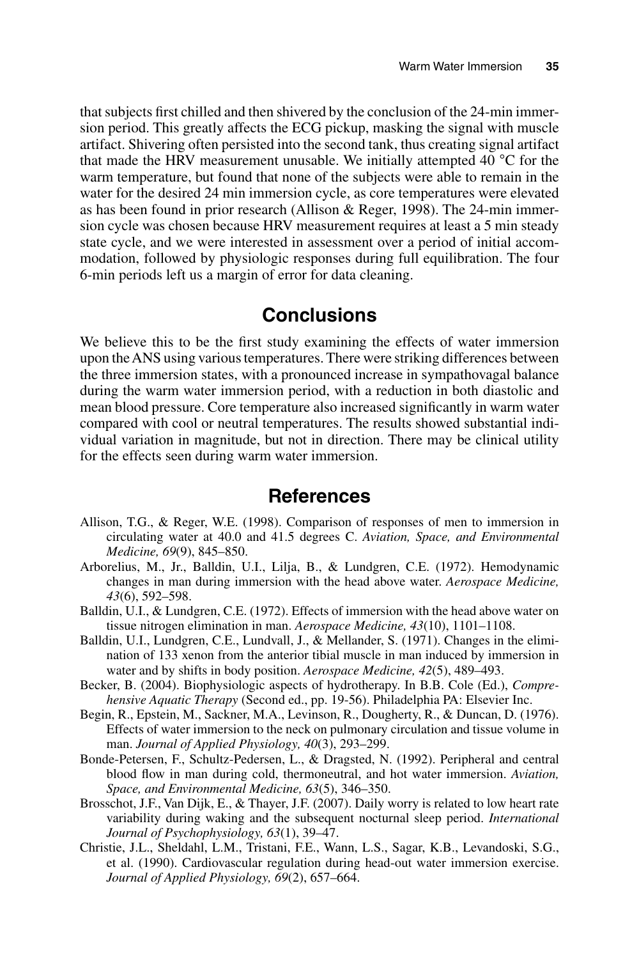that subjects first chilled and then shivered by the conclusion of the 24-min immersion period. This greatly affects the ECG pickup, masking the signal with muscle artifact. Shivering often persisted into the second tank, thus creating signal artifact that made the HRV measurement unusable. We initially attempted  $40^{\circ}$ C for the warm temperature, but found that none of the subjects were able to remain in the water for the desired 24 min immersion cycle, as core temperatures were elevated as has been found in prior research (Allison & Reger, 1998). The 24-min immersion cycle was chosen because HRV measurement requires at least a 5 min steady state cycle, and we were interested in assessment over a period of initial accommodation, followed by physiologic responses during full equilibration. The four 6-min periods left us a margin of error for data cleaning.

### **Conclusions**

We believe this to be the first study examining the effects of water immersion upon the ANS using various temperatures. There were striking differences between the three immersion states, with a pronounced increase in sympathovagal balance during the warm water immersion period, with a reduction in both diastolic and mean blood pressure. Core temperature also increased significantly in warm water compared with cool or neutral temperatures. The results showed substantial individual variation in magnitude, but not in direction. There may be clinical utility for the effects seen during warm water immersion.

#### **References**

- Allison, T.G., & Reger, W.E. (1998). Comparison of responses of men to immersion in circulating water at 40.0 and 41.5 degrees C. *Aviation, Space, and Environmental Medicine, 69*(9), 845–850.
- Arborelius, M., Jr., Balldin, U.I., Lilja, B., & Lundgren, C.E. (1972). Hemodynamic changes in man during immersion with the head above water. *Aerospace Medicine, 43*(6), 592–598.
- Balldin, U.I., & Lundgren, C.E. (1972). Effects of immersion with the head above water on tissue nitrogen elimination in man. *Aerospace Medicine, 43*(10), 1101–1108.
- Balldin, U.I., Lundgren, C.E., Lundvall, J., & Mellander, S. (1971). Changes in the elimination of 133 xenon from the anterior tibial muscle in man induced by immersion in water and by shifts in body position. *Aerospace Medicine, 42*(5), 489–493.
- Becker, B. (2004). Biophysiologic aspects of hydrotherapy. In B.B. Cole (Ed.), *Comprehensive Aquatic Therapy* (Second ed., pp. 19-56). Philadelphia PA: Elsevier Inc.
- Begin, R., Epstein, M., Sackner, M.A., Levinson, R., Dougherty, R., & Duncan, D. (1976). Effects of water immersion to the neck on pulmonary circulation and tissue volume in man. *Journal of Applied Physiology, 40*(3), 293–299.
- Bonde-Petersen, F., Schultz-Pedersen, L., & Dragsted, N. (1992). Peripheral and central blood flow in man during cold, thermoneutral, and hot water immersion. *Aviation*, *Space, and Environmental Medicine, 63*(5), 346–350.
- Brosschot, J.F., Van Dijk, E., & Thayer, J.F. (2007). Daily worry is related to low heart rate variability during waking and the subsequent nocturnal sleep period. *International Journal of Psychophysiology, 63*(1), 39–47.
- Christie, J.L., Sheldahl, L.M., Tristani, F.E., Wann, L.S., Sagar, K.B., Levandoski, S.G., et al. (1990). Cardiovascular regulation during head-out water immersion exercise. *Journal of Applied Physiology, 69*(2), 657–664.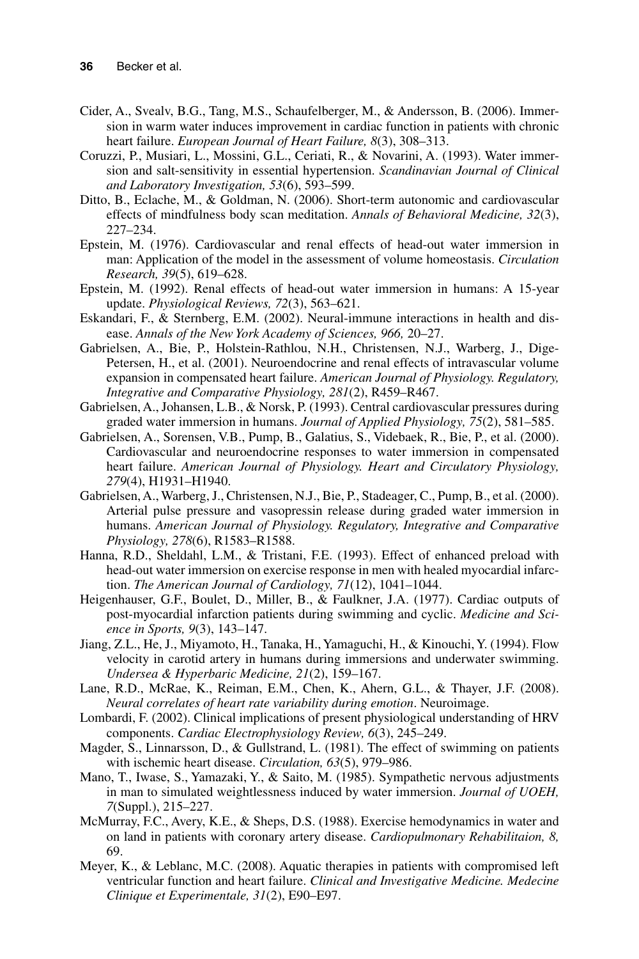- Cider, A., Svealv, B.G., Tang, M.S., Schaufelberger, M., & Andersson, B. (2006). Immersion in warm water induces improvement in cardiac function in patients with chronic heart failure. *European Journal of Heart Failure, 8*(3), 308–313.
- Coruzzi, P., Musiari, L., Mossini, G.L., Ceriati, R., & Novarini, A. (1993). Water immersion and salt-sensitivity in essential hypertension. *Scandinavian Journal of Clinical and Laboratory Investigation, 53*(6), 593–599.
- Ditto, B., Eclache, M., & Goldman, N. (2006). Short-term autonomic and cardiovascular effects of mindfulness body scan meditation. *Annals of Behavioral Medicine, 32*(3), 227–234.
- Epstein, M. (1976). Cardiovascular and renal effects of head-out water immersion in man: Application of the model in the assessment of volume homeostasis. *Circulation Research, 39*(5), 619–628.
- Epstein, M. (1992). Renal effects of head-out water immersion in humans: A 15-year update. *Physiological Reviews, 72*(3), 563–621.
- Eskandari, F., & Sternberg, E.M. (2002). Neural-immune interactions in health and disease. *Annals of the New York Academy of Sciences, 966,* 20–27.
- Gabrielsen, A., Bie, P., Holstein-Rathlou, N.H., Christensen, N.J., Warberg, J., Dige-Petersen, H., et al. (2001). Neuroendocrine and renal effects of intravascular volume expansion in compensated heart failure. *American Journal of Physiology. Regulatory, Integrative and Comparative Physiology, 281*(2), R459–R467.
- Gabrielsen, A., Johansen, L.B., & Norsk, P. (1993). Central cardiovascular pressures during graded water immersion in humans. *Journal of Applied Physiology, 75*(2), 581–585.
- Gabrielsen, A., Sorensen, V.B., Pump, B., Galatius, S., Videbaek, R., Bie, P., et al. (2000). Cardiovascular and neuroendocrine responses to water immersion in compensated heart failure. *American Journal of Physiology. Heart and Circulatory Physiology, 279*(4), H1931–H1940.
- Gabrielsen, A., Warberg, J., Christensen, N.J., Bie, P., Stadeager, C., Pump, B., et al. (2000). Arterial pulse pressure and vasopressin release during graded water immersion in humans. *American Journal of Physiology. Regulatory, Integrative and Comparative Physiology, 278*(6), R1583–R1588.
- Hanna, R.D., Sheldahl, L.M., & Tristani, F.E. (1993). Effect of enhanced preload with head-out water immersion on exercise response in men with healed myocardial infarction. *The American Journal of Cardiology, 71*(12), 1041–1044.
- Heigenhauser, G.F., Boulet, D., Miller, B., & Faulkner, J.A. (1977). Cardiac outputs of post-myocardial infarction patients during swimming and cyclic. *Medicine and Science in Sports, 9*(3), 143–147.
- Jiang, Z.L., He, J., Miyamoto, H., Tanaka, H., Yamaguchi, H., & Kinouchi, Y. (1994). Flow velocity in carotid artery in humans during immersions and underwater swimming. *Undersea & Hyperbaric Medicine, 21*(2), 159–167.
- Lane, R.D., McRae, K., Reiman, E.M., Chen, K., Ahern, G.L., & Thayer, J.F. (2008). *Neural correlates of heart rate variability during emotion*. Neuroimage.
- Lombardi, F. (2002). Clinical implications of present physiological understanding of HRV components. *Cardiac Electrophysiology Review, 6*(3), 245–249.
- Magder, S., Linnarsson, D., & Gullstrand, L. (1981). The effect of swimming on patients with ischemic heart disease. *Circulation, 63*(5), 979–986.
- Mano, T., Iwase, S., Yamazaki, Y., & Saito, M. (1985). Sympathetic nervous adjustments in man to simulated weightlessness induced by water immersion. *Journal of UOEH, 7*(Suppl.), 215–227.
- McMurray, F.C., Avery, K.E., & Sheps, D.S. (1988). Exercise hemodynamics in water and on land in patients with coronary artery disease. *Cardiopulmonary Rehabilitaion, 8,* 69.
- Meyer, K., & Leblanc, M.C. (2008). Aquatic therapies in patients with compromised left ventricular function and heart failure. *Clinical and Investigative Medicine. Medecine Clinique et Experimentale, 31*(2), E90–E97.